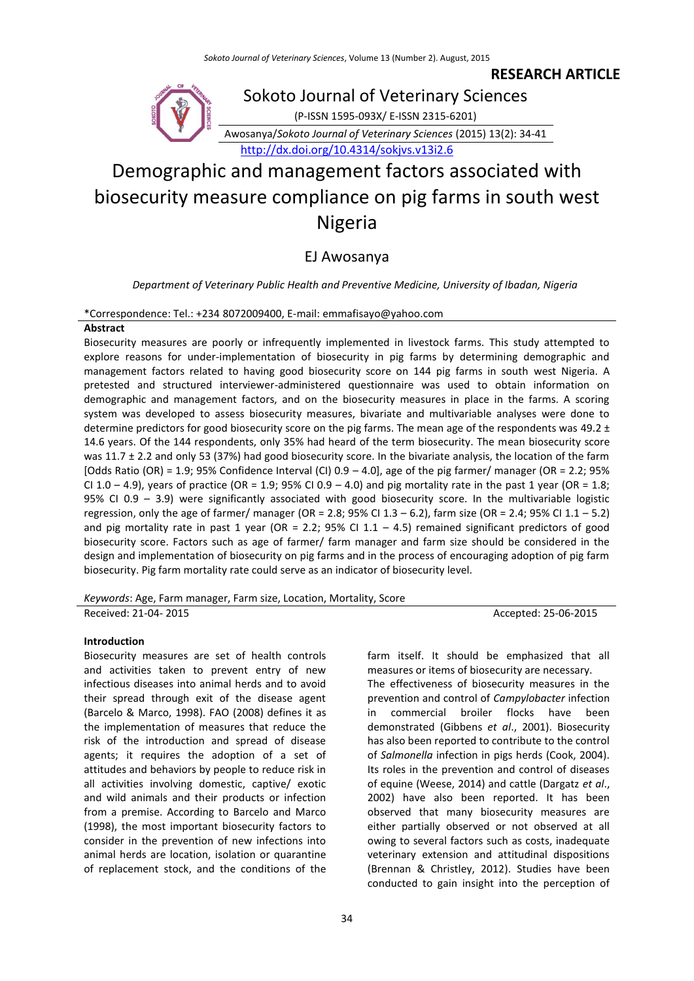**RESEARCH ARTICLE** 



# Demographic and management factors associated with biosecurity measure compliance on pig farms in south west Nigeria

## EJ Awosanya

*Department of Veterinary Public Health and Preventive Medicine, University of Ibadan, Nigeria*

## \*Correspondence: Tel.: +234 8072009400, E-mail: emmafisayo@yahoo.com

## **Abstract**

Biosecurity measures are poorly or infrequently implemented in livestock farms. This study attempted to explore reasons for under-implementation of biosecurity in pig farms by determining demographic and management factors related to having good biosecurity score on 144 pig farms in south west Nigeria. A pretested and structured interviewer-administered questionnaire was used to obtain information on demographic and management factors, and on the biosecurity measures in place in the farms. A scoring system was developed to assess biosecurity measures, bivariate and multivariable analyses were done to determine predictors for good biosecurity score on the pig farms. The mean age of the respondents was 49.2  $\pm$ 14.6 years. Of the 144 respondents, only 35% had heard of the term biosecurity. The mean biosecurity score was 11.7 ± 2.2 and only 53 (37%) had good biosecurity score. In the bivariate analysis, the location of the farm [Odds Ratio (OR) = 1.9; 95% Confidence Interval (CI)  $0.9 - 4.0$ ], age of the pig farmer/ manager (OR = 2.2; 95% CI 1.0 – 4.9), years of practice (OR = 1.9; 95% CI 0.9 – 4.0) and pig mortality rate in the past 1 year (OR = 1.8; 95% CI 0.9 – 3.9) were significantly associated with good biosecurity score. In the multivariable logistic regression, only the age of farmer/ manager (OR = 2.8; 95% CI 1.3 – 6.2), farm size (OR = 2.4; 95% CI 1.1 – 5.2) and pig mortality rate in past 1 year (OR = 2.2; 95% CI 1.1 - 4.5) remained significant predictors of good biosecurity score. Factors such as age of farmer/ farm manager and farm size should be considered in the design and implementation of biosecurity on pig farms and in the process of encouraging adoption of pig farm biosecurity. Pig farm mortality rate could serve as an indicator of biosecurity level.

*Keywords*: Age, Farm manager, Farm size, Location, Mortality, Score

Received: 21-04- 2015 Accepted: 25-06-2015

#### **Introduction**

Biosecurity measures are set of health controls and activities taken to prevent entry of new infectious diseases into animal herds and to avoid their spread through exit of the disease agent (Barcelo & Marco, 1998). FAO (2008) defines it as the implementation of measures that reduce the risk of the introduction and spread of disease agents; it requires the adoption of a set of attitudes and behaviors by people to reduce risk in all activities involving domestic, captive/ exotic and wild animals and their products or infection from a premise. According to Barcelo and Marco (1998), the most important biosecurity factors to consider in the prevention of new infections into animal herds are location, isolation or quarantine of replacement stock, and the conditions of the

34

farm itself. It should be emphasized that all measures or items of biosecurity are necessary. The effectiveness of biosecurity measures in the prevention and control of *Campylobacter* infection in commercial broiler flocks have been demonstrated (Gibbens *et al*., 2001). Biosecurity has also been reported to contribute to the control of *Salmonella* infection in pigs herds (Cook, 2004). Its roles in the prevention and control of diseases of equine (Weese, 2014) and cattle (Dargatz *et al*., 2002) have also been reported. It has been observed that many biosecurity measures are either partially observed or not observed at all owing to several factors such as costs, inadequate veterinary extension and attitudinal dispositions (Brennan & Christley, 2012). Studies have been conducted to gain insight into the perception of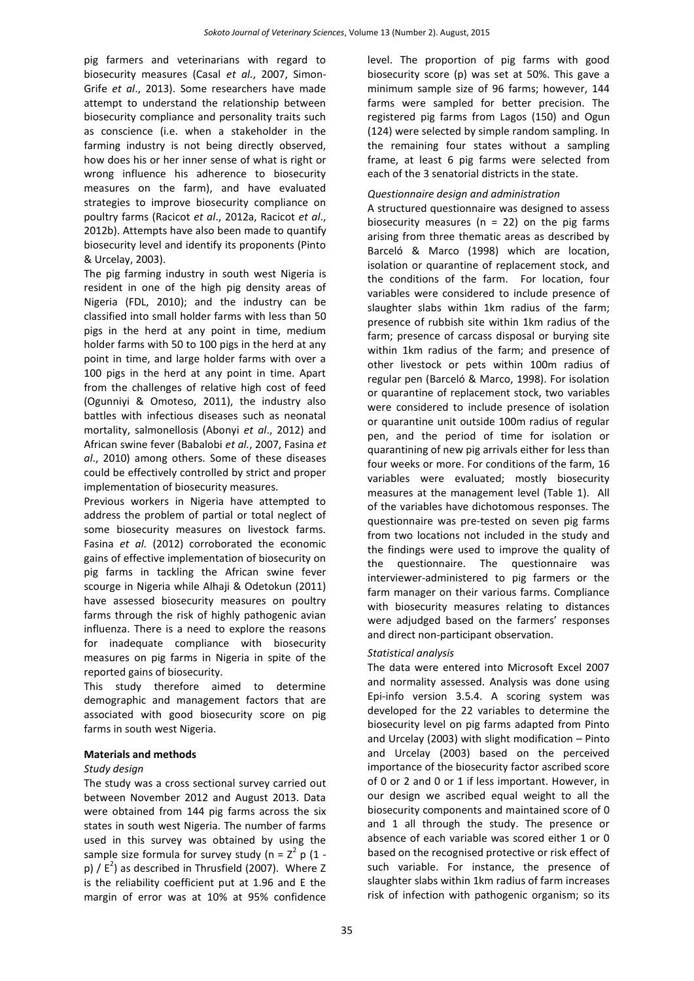pig farmers and veterinarians with regard to biosecurity measures (Casal *et al.*, 2007, Simon-Grife *et al*., 2013). Some researchers have made attempt to understand the relationship between biosecurity compliance and personality traits such as conscience (i.e. when a stakeholder in the farming industry is not being directly observed, how does his or her inner sense of what is right or wrong influence his adherence to biosecurity measures on the farm), and have evaluated strategies to improve biosecurity compliance on poultry farms (Racicot *et al*., 2012a, Racicot *et al*., 2012b). Attempts have also been made to quantify biosecurity level and identify its proponents (Pinto & Urcelay, 2003).

The pig farming industry in south west Nigeria is resident in one of the high pig density areas of Nigeria (FDL, 2010); and the industry can be classified into small holder farms with less than 50 pigs in the herd at any point in time, medium holder farms with 50 to 100 pigs in the herd at any point in time, and large holder farms with over a 100 pigs in the herd at any point in time. Apart from the challenges of relative high cost of feed (Ogunniyi & Omoteso, 2011), the industry also battles with infectious diseases such as neonatal mortality, salmonellosis (Abonyi *et al*., 2012) and African swine fever (Babalobi *et al.*, 2007, Fasina *et al*., 2010) among others. Some of these diseases could be effectively controlled by strict and proper implementation of biosecurity measures.

Previous workers in Nigeria have attempted to address the problem of partial or total neglect of some biosecurity measures on livestock farms. Fasina *et al.* (2012) corroborated the economic gains of effective implementation of biosecurity on pig farms in tackling the African swine fever scourge in Nigeria while Alhaji & Odetokun (2011) have assessed biosecurity measures on poultry farms through the risk of highly pathogenic avian influenza. There is a need to explore the reasons for inadequate compliance with biosecurity measures on pig farms in Nigeria in spite of the reported gains of biosecurity.

This study therefore aimed to determine demographic and management factors that are associated with good biosecurity score on pig farms in south west Nigeria.

## **Materials and methods**

## *Study design*

The study was a cross sectional survey carried out between November 2012 and August 2013. Data were obtained from 144 pig farms across the six states in south west Nigeria. The number of farms used in this survey was obtained by using the sample size formula for survey study (n =  $Z^2$  p (1 p)  $/E<sup>2</sup>$ ) as described in Thrusfield (2007). Where Z is the reliability coefficient put at 1.96 and E the margin of error was at 10% at 95% confidence

level. The proportion of pig farms with good biosecurity score (p) was set at 50%. This gave a minimum sample size of 96 farms; however, 144 farms were sampled for better precision. The registered pig farms from Lagos (150) and Ogun (124) were selected by simple random sampling. In the remaining four states without a sampling frame, at least 6 pig farms were selected from each of the 3 senatorial districts in the state.

## *Questionnaire design and administration*

A structured questionnaire was designed to assess biosecurity measures ( $n = 22$ ) on the pig farms arising from three thematic areas as described by Barceló & Marco (1998) which are location, isolation or quarantine of replacement stock, and the conditions of the farm. For location, four variables were considered to include presence of slaughter slabs within 1km radius of the farm; presence of rubbish site within 1km radius of the farm; presence of carcass disposal or burying site within 1km radius of the farm; and presence of other livestock or pets within 100m radius of regular pen (Barceló & Marco, 1998). For isolation or quarantine of replacement stock, two variables were considered to include presence of isolation or quarantine unit outside 100m radius of regular pen, and the period of time for isolation or quarantining of new pig arrivals either for less than four weeks or more. For conditions of the farm, 16 variables were evaluated; mostly biosecurity measures at the management level (Table 1). All of the variables have dichotomous responses. The questionnaire was pre-tested on seven pig farms from two locations not included in the study and the findings were used to improve the quality of the questionnaire. The questionnaire was interviewer-administered to pig farmers or the farm manager on their various farms. Compliance with biosecurity measures relating to distances were adjudged based on the farmers' responses and direct non-participant observation.

## *Statistical analysis*

The data were entered into Microsoft Excel 2007 and normality assessed. Analysis was done using Epi-info version 3.5.4. A scoring system was developed for the 22 variables to determine the biosecurity level on pig farms adapted from Pinto and Urcelay (2003) with slight modification – Pinto and Urcelay (2003) based on the perceived importance of the biosecurity factor ascribed score of 0 or 2 and 0 or 1 if less important. However, in our design we ascribed equal weight to all the biosecurity components and maintained score of 0 and 1 all through the study. The presence or absence of each variable was scored either 1 or 0 based on the recognised protective or risk effect of such variable. For instance, the presence of slaughter slabs within 1km radius of farm increases risk of infection with pathogenic organism; so its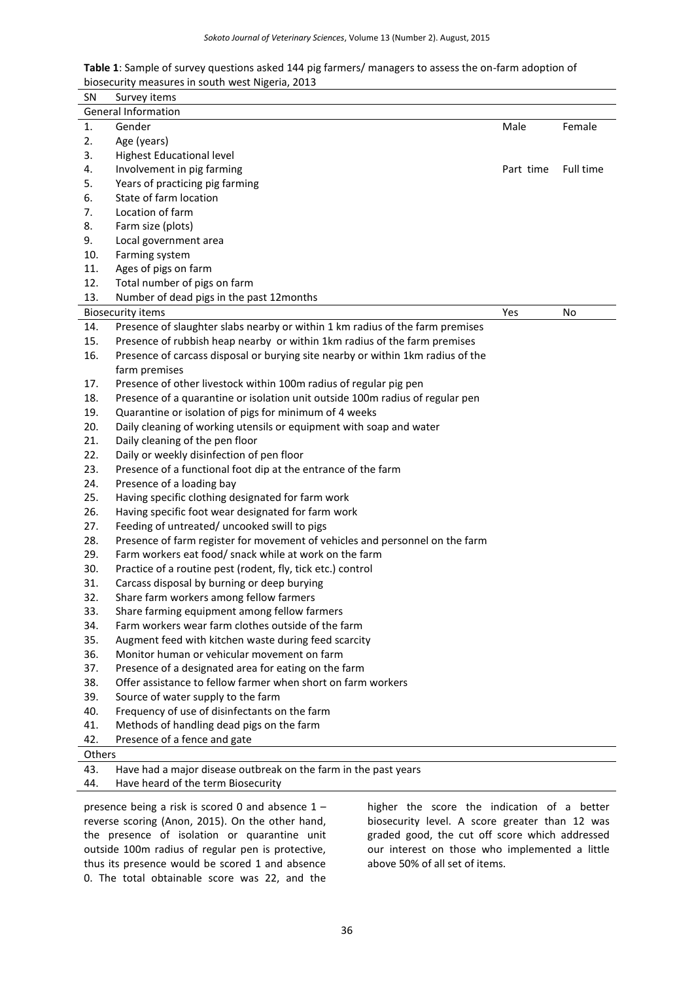| <b>Table 1</b> : Sample of survey questions asked 144 pig farmers/ managers to assess the on-farm adoption of |
|---------------------------------------------------------------------------------------------------------------|
| biosecurity measures in south west Nigeria, 2013                                                              |

| <b>SN</b> | Survey items                                                                    |           |           |  |  |  |
|-----------|---------------------------------------------------------------------------------|-----------|-----------|--|--|--|
|           | <b>General Information</b>                                                      |           |           |  |  |  |
| 1.        | Gender                                                                          | Male      | Female    |  |  |  |
| 2.        | Age (years)                                                                     |           |           |  |  |  |
| 3.        | <b>Highest Educational level</b>                                                |           |           |  |  |  |
| 4.        | Involvement in pig farming                                                      | Part time | Full time |  |  |  |
| 5.        | Years of practicing pig farming                                                 |           |           |  |  |  |
| 6.        | State of farm location                                                          |           |           |  |  |  |
| 7.        | Location of farm                                                                |           |           |  |  |  |
| 8.        | Farm size (plots)                                                               |           |           |  |  |  |
| 9.        | Local government area                                                           |           |           |  |  |  |
| 10.       | Farming system                                                                  |           |           |  |  |  |
| 11.       | Ages of pigs on farm                                                            |           |           |  |  |  |
| 12.       | Total number of pigs on farm                                                    |           |           |  |  |  |
| 13.       | Number of dead pigs in the past 12months                                        |           |           |  |  |  |
|           | <b>Biosecurity items</b>                                                        | Yes       | No        |  |  |  |
| 14.       | Presence of slaughter slabs nearby or within 1 km radius of the farm premises   |           |           |  |  |  |
| 15.       | Presence of rubbish heap nearby or within 1km radius of the farm premises       |           |           |  |  |  |
| 16.       | Presence of carcass disposal or burying site nearby or within 1km radius of the |           |           |  |  |  |
|           | farm premises                                                                   |           |           |  |  |  |
| 17.       | Presence of other livestock within 100m radius of regular pig pen               |           |           |  |  |  |
| 18.       | Presence of a quarantine or isolation unit outside 100m radius of regular pen   |           |           |  |  |  |
| 19.       | Quarantine or isolation of pigs for minimum of 4 weeks                          |           |           |  |  |  |
| 20.       | Daily cleaning of working utensils or equipment with soap and water             |           |           |  |  |  |
| 21.       | Daily cleaning of the pen floor                                                 |           |           |  |  |  |
| 22.       | Daily or weekly disinfection of pen floor                                       |           |           |  |  |  |
| 23.       | Presence of a functional foot dip at the entrance of the farm                   |           |           |  |  |  |
| 24.       | Presence of a loading bay                                                       |           |           |  |  |  |
| 25.       | Having specific clothing designated for farm work                               |           |           |  |  |  |
| 26.       | Having specific foot wear designated for farm work                              |           |           |  |  |  |
| 27.       | Feeding of untreated/ uncooked swill to pigs                                    |           |           |  |  |  |
| 28.       | Presence of farm register for movement of vehicles and personnel on the farm    |           |           |  |  |  |
| 29.       | Farm workers eat food/ snack while at work on the farm                          |           |           |  |  |  |
| 30.       | Practice of a routine pest (rodent, fly, tick etc.) control                     |           |           |  |  |  |
| 31.       | Carcass disposal by burning or deep burying                                     |           |           |  |  |  |
| 32.       | Share farm workers among fellow farmers                                         |           |           |  |  |  |
| 33.       | Share farming equipment among fellow farmers                                    |           |           |  |  |  |
| 34.       | Farm workers wear farm clothes outside of the farm                              |           |           |  |  |  |
| 35.       | Augment feed with kitchen waste during feed scarcity                            |           |           |  |  |  |
| 36.       | Monitor human or vehicular movement on farm                                     |           |           |  |  |  |
| 37.       | Presence of a designated area for eating on the farm                            |           |           |  |  |  |
| 38.       | Offer assistance to fellow farmer when short on farm workers                    |           |           |  |  |  |
| 39.       | Source of water supply to the farm                                              |           |           |  |  |  |
| 40.       | Frequency of use of disinfectants on the farm                                   |           |           |  |  |  |
| 41.       | Methods of handling dead pigs on the farm                                       |           |           |  |  |  |
| 42.       | Presence of a fence and gate                                                    |           |           |  |  |  |
| Others    |                                                                                 |           |           |  |  |  |
| 43.       | Have had a major disease outbreak on the farm in the past years                 |           |           |  |  |  |
| 44.       | Have heard of the term Biosecurity                                              |           |           |  |  |  |

presence being a risk is scored 0 and absence 1 – reverse scoring (Anon, 2015). On the other hand, the presence of isolation or quarantine unit outside 100m radius of regular pen is protective, thus its presence would be scored 1 and absence 0. The total obtainable score was 22, and the

higher the score the indication of a better biosecurity level. A score greater than 12 was graded good, the cut off score which addressed our interest on those who implemented a little above 50% of all set of items.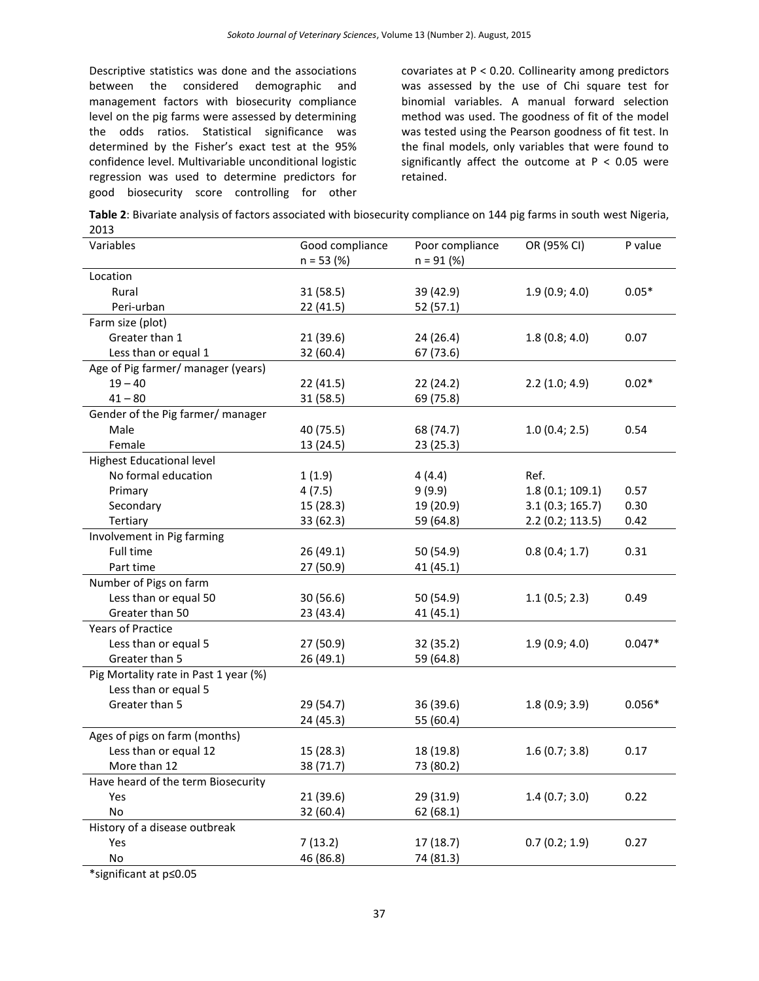Descriptive statistics was done and the associations between the considered demographic and management factors with biosecurity compliance level on the pig farms were assessed by determining the odds ratios. Statistical significance was determined by the Fisher's exact test at the 95% confidence level. Multivariable unconditional logistic regression was used to determine predictors for good biosecurity score controlling for other

covariates at P < 0.20. Collinearity among predictors was assessed by the use of Chi square test for binomial variables. A manual forward selection method was used. The goodness of fit of the model was tested using the Pearson goodness of fit test. In the final models, only variables that were found to significantly affect the outcome at  $P < 0.05$  were retained.

**Table 2**: Bivariate analysis of factors associated with biosecurity compliance on 144 pig farms in south west Nigeria, 2013

| Variables                             | Good compliance | Poor compliance | OR (95% CI)     | P value  |
|---------------------------------------|-----------------|-----------------|-----------------|----------|
|                                       | $n = 53$ (%)    | $n = 91 (%)$    |                 |          |
| Location                              |                 |                 |                 |          |
| Rural                                 | 31(58.5)        | 39 (42.9)       | 1.9(0.9; 4.0)   | $0.05*$  |
| Peri-urban                            | 22 (41.5)       | 52(57.1)        |                 |          |
| Farm size (plot)                      |                 |                 |                 |          |
| Greater than 1                        | 21 (39.6)       | 24 (26.4)       | 1.8(0.8; 4.0)   | 0.07     |
| Less than or equal 1                  | 32 (60.4)       | 67 (73.6)       |                 |          |
| Age of Pig farmer/ manager (years)    |                 |                 |                 |          |
| $19 - 40$                             | 22 (41.5)       | 22(24.2)        | 2.2(1.0; 4.9)   | $0.02*$  |
| $41 - 80$                             | 31 (58.5)       | 69 (75.8)       |                 |          |
| Gender of the Pig farmer/ manager     |                 |                 |                 |          |
| Male                                  | 40 (75.5)       | 68 (74.7)       | 1.0(0.4; 2.5)   | 0.54     |
| Female                                | 13 (24.5)       | 23(25.3)        |                 |          |
| <b>Highest Educational level</b>      |                 |                 |                 |          |
| No formal education                   | 1(1.9)          | 4(4.4)          | Ref.            |          |
| Primary                               | 4(7.5)          | 9(9.9)          | 1.8(0.1; 109.1) | 0.57     |
| Secondary                             | 15 (28.3)       | 19 (20.9)       | 3.1(0.3; 165.7) | 0.30     |
| Tertiary                              | 33 (62.3)       | 59 (64.8)       | 2.2(0.2; 113.5) | 0.42     |
| Involvement in Pig farming            |                 |                 |                 |          |
| Full time                             | 26 (49.1)       | 50 (54.9)       | 0.8(0.4; 1.7)   | 0.31     |
| Part time                             | 27 (50.9)       | 41 (45.1)       |                 |          |
| Number of Pigs on farm                |                 |                 |                 |          |
| Less than or equal 50                 | 30(56.6)        | 50 (54.9)       | 1.1(0.5; 2.3)   | 0.49     |
| Greater than 50                       | 23 (43.4)       | 41 (45.1)       |                 |          |
| <b>Years of Practice</b>              |                 |                 |                 |          |
| Less than or equal 5                  | 27 (50.9)       | 32 (35.2)       | 1.9(0.9; 4.0)   | $0.047*$ |
| Greater than 5                        | 26 (49.1)       | 59 (64.8)       |                 |          |
| Pig Mortality rate in Past 1 year (%) |                 |                 |                 |          |
| Less than or equal 5                  |                 |                 |                 |          |
| Greater than 5                        | 29 (54.7)       | 36 (39.6)       | 1.8(0.9; 3.9)   | $0.056*$ |
|                                       | 24 (45.3)       | 55 (60.4)       |                 |          |
| Ages of pigs on farm (months)         |                 |                 |                 |          |
| Less than or equal 12                 | 15(28.3)        | 18 (19.8)       | 1.6(0.7; 3.8)   | 0.17     |
| More than 12                          | 38 (71.7)       | 73 (80.2)       |                 |          |
| Have heard of the term Biosecurity    |                 |                 |                 |          |
| Yes                                   | 21(39.6)        | 29 (31.9)       | 1.4(0.7; 3.0)   | 0.22     |
| No                                    | 32 (60.4)       | 62(68.1)        |                 |          |
| History of a disease outbreak         |                 |                 |                 |          |
| Yes                                   | 7(13.2)         | 17(18.7)        | 0.7(0.2; 1.9)   | 0.27     |
| No.                                   | 46 (86.8)       | 74 (81.3)       |                 |          |

\*significant at p≤0.05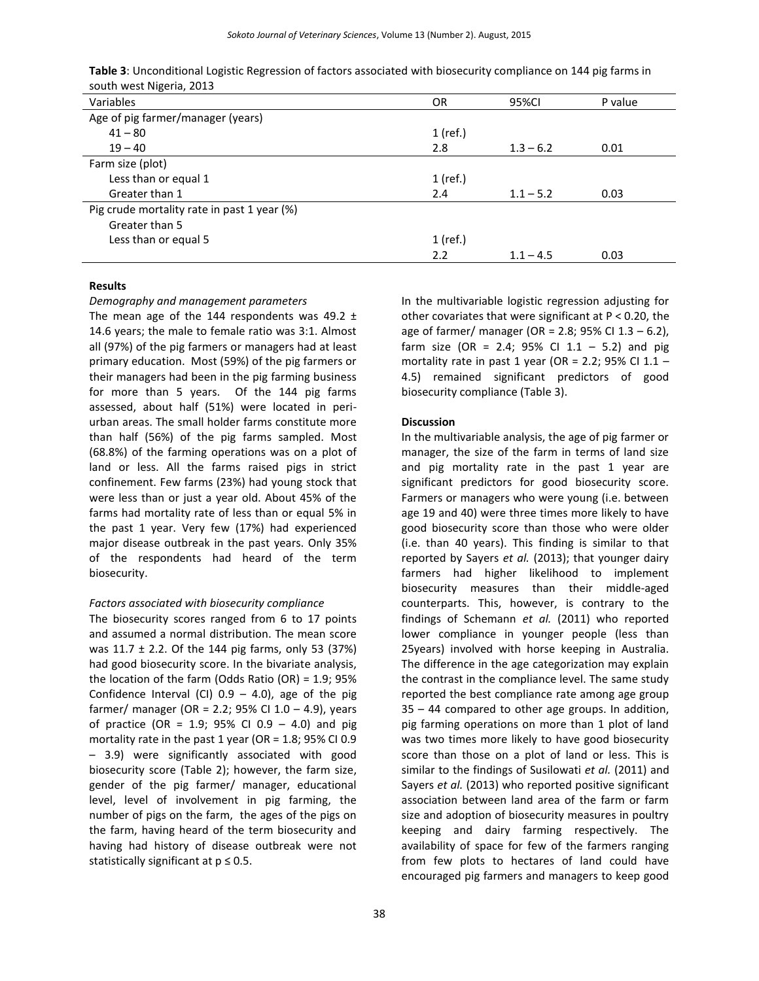| Variables                                   | 0R       | 95%CI       | P value |
|---------------------------------------------|----------|-------------|---------|
| Age of pig farmer/manager (years)           |          |             |         |
| $41 - 80$                                   | 1 (ref.) |             |         |
| $19 - 40$                                   | 2.8      | $1.3 - 6.2$ | 0.01    |
| Farm size (plot)                            |          |             |         |
| Less than or equal 1                        | 1 (ref.) |             |         |
| Greater than 1                              | 2.4      | $1.1 - 5.2$ | 0.03    |
| Pig crude mortality rate in past 1 year (%) |          |             |         |
| Greater than 5                              |          |             |         |
| Less than or equal 5                        | 1 (ref.) |             |         |
|                                             | 2.2      | $1.1 - 4.5$ | 0.03    |
|                                             |          |             |         |

**Table 3**: Unconditional Logistic Regression of factors associated with biosecurity compliance on 144 pig farms in south west Nigeria, 2013

#### **Results**

#### *Demography and management parameters*

The mean age of the 144 respondents was 49.2  $\pm$ 14.6 years; the male to female ratio was 3:1. Almost all (97%) of the pig farmers or managers had at least primary education. Most (59%) of the pig farmers or their managers had been in the pig farming business for more than 5 years. Of the 144 pig farms assessed, about half (51%) were located in periurban areas. The small holder farms constitute more than half (56%) of the pig farms sampled. Most (68.8%) of the farming operations was on a plot of land or less. All the farms raised pigs in strict confinement. Few farms (23%) had young stock that were less than or just a year old. About 45% of the farms had mortality rate of less than or equal 5% in the past 1 year. Very few (17%) had experienced major disease outbreak in the past years. Only 35% of the respondents had heard of the term biosecurity.

#### *Factors associated with biosecurity compliance*

The biosecurity scores ranged from 6 to 17 points and assumed a normal distribution. The mean score was  $11.7 \pm 2.2$ . Of the 144 pig farms, only 53 (37%) had good biosecurity score. In the bivariate analysis, the location of the farm (Odds Ratio (OR) = 1.9; 95% Confidence Interval (CI)  $0.9 - 4.0$ ), age of the pig farmer/ manager (OR = 2.2; 95% CI  $1.0 - 4.9$ ), years of practice (OR = 1.9; 95% CI 0.9 – 4.0) and pig mortality rate in the past 1 year (OR =  $1.8$ ; 95% CI 0.9 – 3.9) were significantly associated with good biosecurity score (Table 2); however, the farm size, gender of the pig farmer/ manager, educational level, level of involvement in pig farming, the number of pigs on the farm, the ages of the pigs on the farm, having heard of the term biosecurity and having had history of disease outbreak were not statistically significant at  $p \leq 0.5$ .

In the multivariable logistic regression adjusting for other covariates that were significant at P < 0.20, the age of farmer/ manager (OR = 2.8; 95% CI 1.3 - 6.2), farm size (OR = 2.4; 95% CI 1.1 - 5.2) and pig mortality rate in past 1 year (OR = 2.2; 95% CI 1.1  $-$ 4.5) remained significant predictors of good biosecurity compliance (Table 3).

#### **Discussion**

In the multivariable analysis, the age of pig farmer or manager, the size of the farm in terms of land size and pig mortality rate in the past 1 year are significant predictors for good biosecurity score. Farmers or managers who were young (i.e. between age 19 and 40) were three times more likely to have good biosecurity score than those who were older (i.e. than 40 years). This finding is similar to that reported by Sayers *et al.* (2013); that younger dairy farmers had higher likelihood to implement biosecurity measures than their middle-aged counterparts. This, however, is contrary to the findings of Schemann *et al.* (2011) who reported lower compliance in younger people (less than 25years) involved with horse keeping in Australia. The difference in the age categorization may explain the contrast in the compliance level. The same study reported the best compliance rate among age group 35 – 44 compared to other age groups. In addition, pig farming operations on more than 1 plot of land was two times more likely to have good biosecurity score than those on a plot of land or less. This is similar to the findings of Susilowati *et al.* (2011) and Sayers *et al.* (2013) who reported positive significant association between land area of the farm or farm size and adoption of biosecurity measures in poultry keeping and dairy farming respectively. The availability of space for few of the farmers ranging from few plots to hectares of land could have encouraged pig farmers and managers to keep good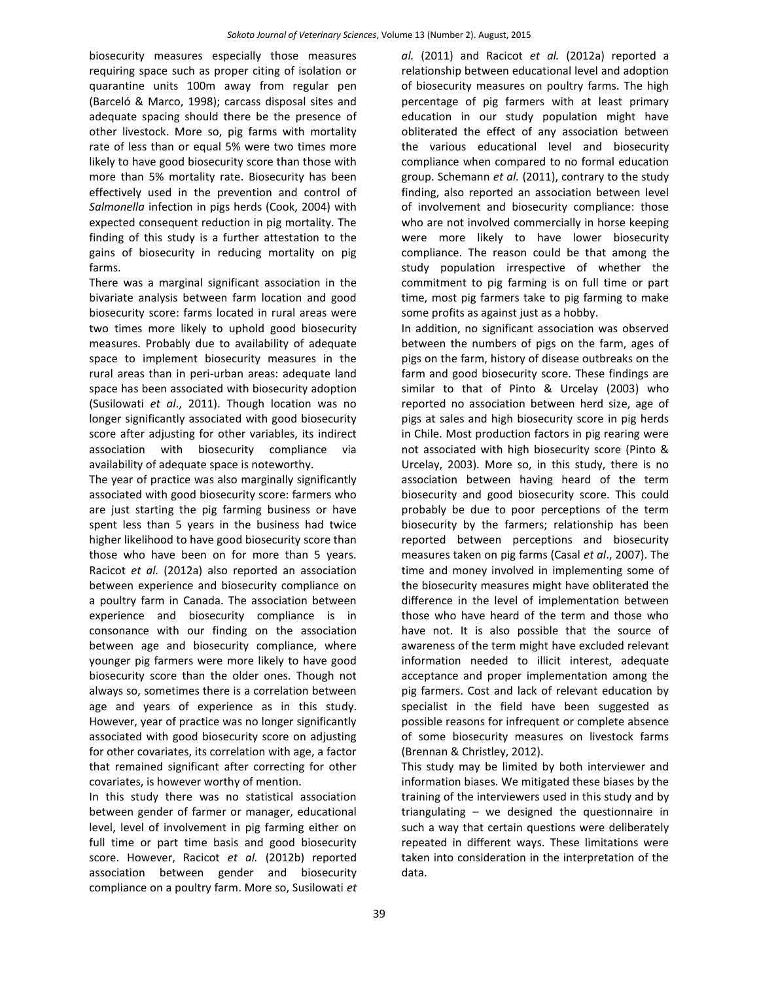biosecurity measures especially those measures requiring space such as proper citing of isolation or quarantine units 100m away from regular pen (Barceló & Marco, 1998); carcass disposal sites and adequate spacing should there be the presence of other livestock. More so, pig farms with mortality rate of less than or equal 5% were two times more likely to have good biosecurity score than those with more than 5% mortality rate. Biosecurity has been effectively used in the prevention and control of *Salmonella* infection in pigs herds (Cook, 2004) with expected consequent reduction in pig mortality. The finding of this study is a further attestation to the gains of biosecurity in reducing mortality on pig farms.

There was a marginal significant association in the bivariate analysis between farm location and good biosecurity score: farms located in rural areas were two times more likely to uphold good biosecurity measures. Probably due to availability of adequate space to implement biosecurity measures in the rural areas than in peri-urban areas: adequate land space has been associated with biosecurity adoption (Susilowati *et al*., 2011). Though location was no longer significantly associated with good biosecurity score after adjusting for other variables, its indirect association with biosecurity compliance via availability of adequate space is noteworthy.

The year of practice was also marginally significantly associated with good biosecurity score: farmers who are just starting the pig farming business or have spent less than 5 years in the business had twice higher likelihood to have good biosecurity score than those who have been on for more than 5 years. Racicot *et al.* (2012a) also reported an association between experience and biosecurity compliance on a poultry farm in Canada. The association between experience and biosecurity compliance is in consonance with our finding on the association between age and biosecurity compliance, where younger pig farmers were more likely to have good biosecurity score than the older ones. Though not always so, sometimes there is a correlation between age and years of experience as in this study. However, year of practice was no longer significantly associated with good biosecurity score on adjusting for other covariates, its correlation with age, a factor that remained significant after correcting for other covariates, is however worthy of mention.

In this study there was no statistical association between gender of farmer or manager, educational level, level of involvement in pig farming either on full time or part time basis and good biosecurity score. However, Racicot *et al.* (2012b) reported association between gender and biosecurity compliance on a poultry farm. More so, Susilowati *et*  *al.* (2011) and Racicot *et al.* (2012a) reported a relationship between educational level and adoption of biosecurity measures on poultry farms. The high percentage of pig farmers with at least primary education in our study population might have obliterated the effect of any association between the various educational level and biosecurity compliance when compared to no formal education group. Schemann *et al.* (2011), contrary to the study finding, also reported an association between level of involvement and biosecurity compliance: those who are not involved commercially in horse keeping were more likely to have lower biosecurity compliance. The reason could be that among the study population irrespective of whether the commitment to pig farming is on full time or part time, most pig farmers take to pig farming to make some profits as against just as a hobby.

In addition, no significant association was observed between the numbers of pigs on the farm, ages of pigs on the farm, history of disease outbreaks on the farm and good biosecurity score. These findings are similar to that of Pinto & Urcelay (2003) who reported no association between herd size, age of pigs at sales and high biosecurity score in pig herds in Chile. Most production factors in pig rearing were not associated with high biosecurity score (Pinto & Urcelay, 2003). More so, in this study, there is no association between having heard of the term biosecurity and good biosecurity score. This could probably be due to poor perceptions of the term biosecurity by the farmers; relationship has been reported between perceptions and biosecurity measures taken on pig farms (Casal *et al*., 2007). The time and money involved in implementing some of the biosecurity measures might have obliterated the difference in the level of implementation between those who have heard of the term and those who have not. It is also possible that the source of awareness of the term might have excluded relevant information needed to illicit interest, adequate acceptance and proper implementation among the pig farmers. Cost and lack of relevant education by specialist in the field have been suggested as possible reasons for infrequent or complete absence of some biosecurity measures on livestock farms (Brennan & Christley, 2012).

This study may be limited by both interviewer and information biases. We mitigated these biases by the training of the interviewers used in this study and by triangulating – we designed the questionnaire in such a way that certain questions were deliberately repeated in different ways. These limitations were taken into consideration in the interpretation of the data.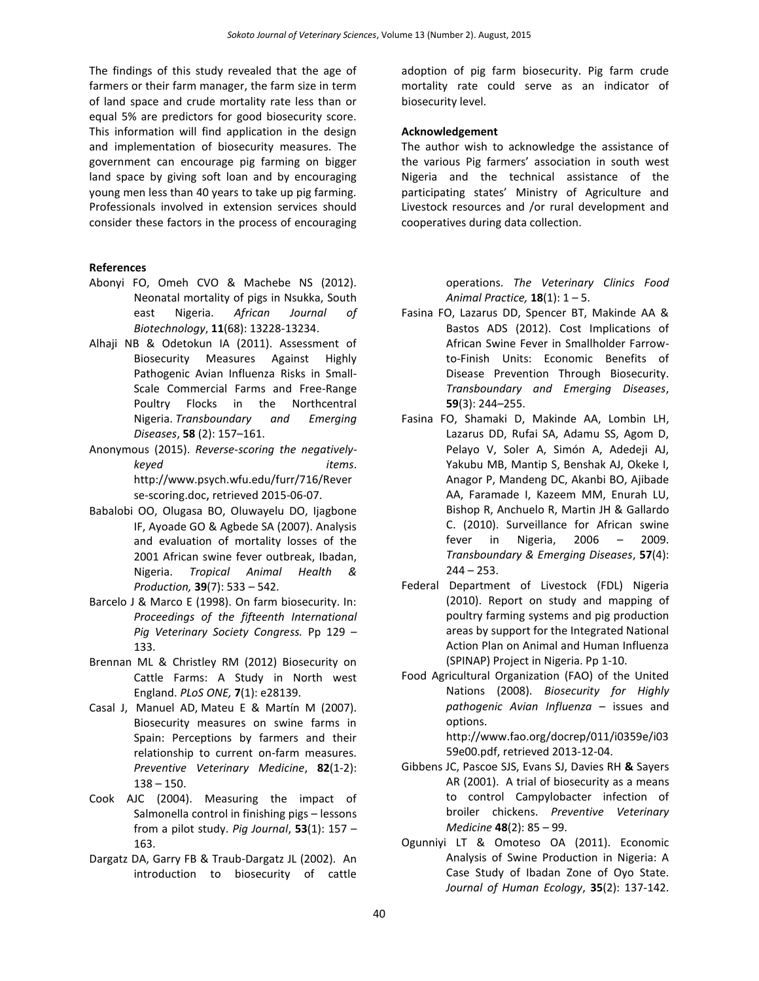The findings of this study revealed that the age of farmers or their farm manager, the farm size in term of land space and crude mortality rate less than or equal 5% are predictors for good biosecurity score. This information will find application in the design and implementation of biosecurity measures. The government can encourage pig farming on bigger land space by giving soft loan and by encouraging young men less than 40 years to take up pig farming. Professionals involved in extension services should consider these factors in the process of encouraging

#### **References**

- Abonyi FO, Omeh CVO & Machebe NS (2012). Neonatal mortality of pigs in Nsukka, South east Nigeria. *African Journal of Biotechnology*, **11**(68): 13228-13234.
- Alhaji NB & Odetokun IA (2011). Assessment of Biosecurity Measures Against Highly Pathogenic Avian Influenza Risks in Small-Scale Commercial Farms and Free-Range Poultry Flocks in the Northcentral Nigeria. *Transboundary and Emerging Diseases*, **58** (2): 157–161.
- Anonymous (2015). *Reverse-scoring the negativelykeyed items*. [http://www.psych.wfu.edu/furr/716/Rever](http://www.psych.wfu.edu/furr/716/Reverse-scoring.doc) [se-scoring.doc](http://www.psych.wfu.edu/furr/716/Reverse-scoring.doc), retrieved 2015-06-07.
- Babalobi OO, Olugasa BO, Oluwayelu DO, Ijagbone IF, Ayoade GO & Agbede SA (2007). Analysis and evaluation of mortality losses of the 2001 African swine fever outbreak, Ibadan, Nigeria. *Tropical Animal Health & Production,* **39**(7): 533 – 542.
- Barcelo J & Marco E (1998). On farm biosecurity. In: *Proceedings of the fifteenth International Pig Veterinary Society Congress.* Pp 129 – 133.
- Brennan ML & Christley RM (2012) Biosecurity on Cattle Farms: A Study in North west England. *PLoS ONE,* **7**(1): e28139.
- [Casal](http://www.sciencedirect.com/science/article/pii/S0167587707001250) J, [Manuel](http://www.sciencedirect.com/science/article/pii/S0167587707001250) AD, [Mateu](http://www.sciencedirect.com/science/article/pii/S0167587707001250) E & [Martín](http://www.sciencedirect.com/science/article/pii/S0167587707001250) M (2007). Biosecurity measures on swine farms in Spain: Perceptions by farmers and their relationship to current on-farm measures. *[Preventive](http://www.sciencedirect.com/science/journal/01675877) Veterinary Medicine*, **82**(1-2): 138 – 150.
- Cook AJC (2004). Measuring the impact of Salmonella control in finishing pigs – lessons from a pilot study. *Pig Journal*, **53**(1): 157 – 163.
- Dargatz DA, Garry FB & Traub-Dargatz JL (2002). An introduction to biosecurity of cattle

adoption of pig farm biosecurity. Pig farm crude mortality rate could serve as an indicator of biosecurity level.

#### **Acknowledgement**

The author wish to acknowledge the assistance of the various Pig farmers' association in south west Nigeria and the technical assistance of the participating states' Ministry of Agriculture and Livestock resources and /or rural development and cooperatives during data collection.

> operations. *The Veterinary Clinics Food Animal Practice,* **18**(1): 1 – 5.

- Fasina FO, Lazarus DD, Spencer BT, Makinde AA & Bastos ADS (2012). Cost Implications of African Swine Fever in Smallholder Farrowto-Finish Units: Economic Benefits of Disease Prevention Through Biosecurity. *Transboundary and Emerging Diseases*, **59**(3): 244–255.
- Fasina FO, Shamaki D, Makinde AA, Lombin LH, Lazarus DD, Rufai SA, Adamu SS, Agom D, Pelayo V, Soler A, Simón A, Adedeji AJ, Yakubu MB, Mantip S, Benshak AJ, Okeke I, Anagor P, Mandeng DC, Akanbi BO, Ajibade AA, Faramade I, Kazeem MM, Enurah LU, Bishop R, Anchuelo R, Martin JH & Gallardo C. (2010). Surveillance for African swine fever in Nigeria, 2006 – 2009. *Transboundary & Emerging Diseases*, **57**(4):  $244 - 253$ .
- Federal Department of Livestock (FDL) Nigeria (2010). Report on study and mapping of poultry farming systems and pig production areas by support for the Integrated National Action Plan on Animal and Human Influenza (SPINAP) Project in Nigeria. Pp 1-10.
- Food Agricultural Organization (FAO) of the United Nations (2008). *Biosecurity for Highly pathogenic Avian Influenza* – issues and options.

[http://www.fao.org/docrep/011/i0359e/i03](http://www.fao.org/docrep/011/i0359e/i0359e00.pdf) [59e00.pdf,](http://www.fao.org/docrep/011/i0359e/i0359e00.pdf) retrieved 2013-12-04.

- Gibbens JC, Pascoe SJS, Evans SJ, Davies RH **&** Sayers AR (2001). A trial of biosecurity as a means to control Campylobacter infection of broiler chickens. *Preventive Veterinary Medicine* **48**(2): 85 – 99.
- Ogunniyi LT & Omoteso OA (2011). Economic Analysis of Swine Production in Nigeria: A Case Study of Ibadan Zone of Oyo State. *Journal of Human Ecology*, **35**(2): 137-142.